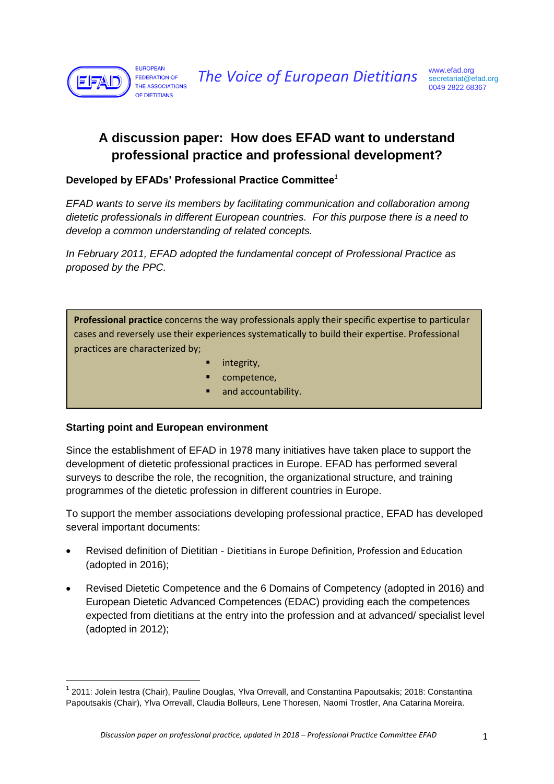

# **A discussion paper: How does EFAD want to understand professional practice and professional development?**

#### **Developed by EFADs' Professional Practice Committee***<sup>1</sup>*

*EFAD wants to serve its members by facilitating communication and collaboration among dietetic professionals in different European countries. For this purpose there is a need to develop a common understanding of related concepts.* 

*In February 2011, EFAD adopted the fundamental concept of Professional Practice as proposed by the PPC.*

**Professional practice** concerns the way professionals apply their specific expertise to particular cases and reversely use their experiences systematically to build their expertise. Professional practices are characterized by;

- integrity,
- competence,
- and accountability.

#### **Starting point and European environment**

 $\overline{\phantom{a}}$ 

Since the establishment of EFAD in 1978 many initiatives have taken place to support the development of dietetic professional practices in Europe. EFAD has performed several surveys to describe the role, the recognition, the organizational structure, and training programmes of the dietetic profession in different countries in Europe.

To support the member associations developing professional practice, EFAD has developed several important documents:

- Revised definition of Dietitian Dietitians in Europe Definition, Profession and Education (adopted in 2016);
- Revised Dietetic Competence and the 6 Domains of Competency (adopted in 2016) and European Dietetic Advanced Competences (EDAC) providing each the competences expected from dietitians at the entry into the profession and at advanced/ specialist level (adopted in 2012);

 $^1$  2011: Jolein Iestra (Chair), Pauline Douglas, Ylva Orrevall, and Constantina Papoutsakis; 2018: Constantina Papoutsakis (Chair), Ylva Orrevall, Claudia Bolleurs, Lene Thoresen, Naomi Trostler, Ana Catarina Moreira.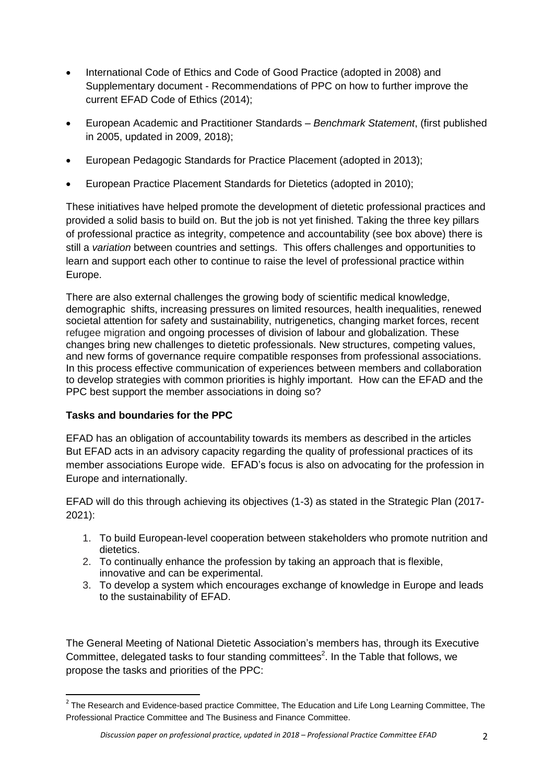- International Code of Ethics and Code of Good Practice (adopted in 2008) and Supplementary document - Recommendations of PPC on how to further improve the current EFAD Code of Ethics (2014);
- European Academic and Practitioner Standards *Benchmark Statement*, (first published in 2005, updated in 2009, 2018);
- European Pedagogic Standards for Practice Placement (adopted in 2013);
- European Practice Placement Standards for Dietetics (adopted in 2010);

These initiatives have helped promote the development of dietetic professional practices and provided a solid basis to build on. But the job is not yet finished. Taking the three key pillars of professional practice as integrity, competence and accountability (see box above) there is still a *variation* between countries and settings. This offers challenges and opportunities to learn and support each other to continue to raise the level of professional practice within Europe.

There are also external challenges the growing body of scientific medical knowledge, demographic shifts, increasing pressures on limited resources, health inequalities, renewed societal attention for safety and sustainability, nutrigenetics, changing market forces, recent refugee migration and ongoing processes of division of labour and globalization. These changes bring new challenges to dietetic professionals. New structures, competing values, and new forms of governance require compatible responses from professional associations. In this process effective communication of experiences between members and collaboration to develop strategies with common priorities is highly important. How can the EFAD and the PPC best support the member associations in doing so?

### **Tasks and boundaries for the PPC**

 $\overline{\phantom{a}}$ 

EFAD has an obligation of accountability towards its members as described in the articles But EFAD acts in an advisory capacity regarding the quality of professional practices of its member associations Europe wide. EFAD's focus is also on advocating for the profession in Europe and internationally.

EFAD will do this through achieving its objectives (1-3) as stated in the Strategic Plan (2017- 2021):

- 1. To build European-level cooperation between stakeholders who promote nutrition and dietetics.
- 2. To continually enhance the profession by taking an approach that is flexible, innovative and can be experimental.
- 3. To develop a system which encourages exchange of knowledge in Europe and leads to the sustainability of EFAD.

The General Meeting of National Dietetic Association's members has, through its Executive Committee, delegated tasks to four standing committees<sup>2</sup>. In the Table that follows, we propose the tasks and priorities of the PPC:

 $^2$  The Research and Evidence-based practice Committee, The Education and Life Long Learning Committee, The Professional Practice Committee and The Business and Finance Committee.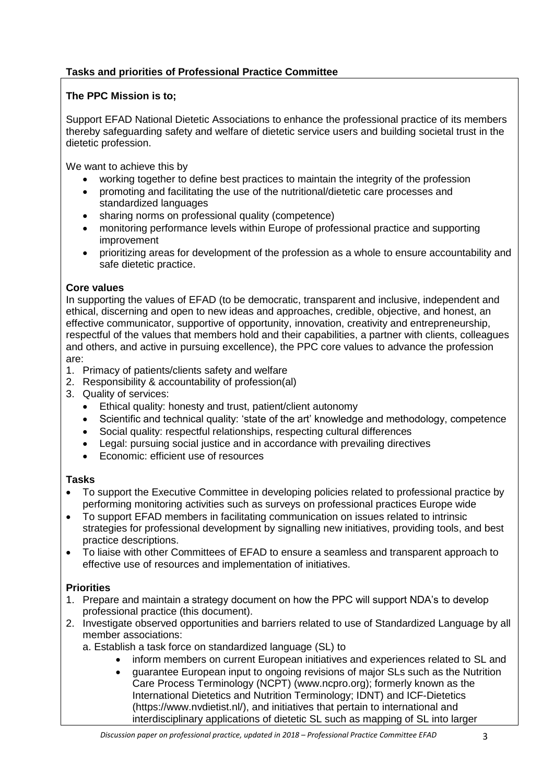# **Tasks and priorities of Professional Practice Committee**

## **The PPC Mission is to;**

Support EFAD National Dietetic Associations to enhance the professional practice of its members thereby safeguarding safety and welfare of dietetic service users and building societal trust in the dietetic profession.

We want to achieve this by

- working together to define best practices to maintain the integrity of the profession
- promoting and facilitating the use of the nutritional/dietetic care processes and standardized languages
- sharing norms on professional quality (competence)
- monitoring performance levels within Europe of professional practice and supporting improvement
- prioritizing areas for development of the profession as a whole to ensure accountability and safe dietetic practice.

## **Core values**

In supporting the values of EFAD (to be democratic, transparent and inclusive, independent and ethical, discerning and open to new ideas and approaches, credible, objective, and honest, an effective communicator, supportive of opportunity, innovation, creativity and entrepreneurship, respectful of the values that members hold and their capabilities, a partner with clients, colleagues and others, and active in pursuing excellence), the PPC core values to advance the profession are:

- 1. Primacy of patients/clients safety and welfare
- 2. Responsibility & accountability of profession(al)
- 3. Quality of services:
	- Ethical quality: honesty and trust, patient/client autonomy
	- Scientific and technical quality: 'state of the art' knowledge and methodology, competence
	- Social quality: respectful relationships, respecting cultural differences
	- Legal: pursuing social justice and in accordance with prevailing directives
	- **Economic:** efficient use of resources

### **Tasks**

- To support the Executive Committee in developing policies related to professional practice by performing monitoring activities such as surveys on professional practices Europe wide
- To support EFAD members in facilitating communication on issues related to intrinsic strategies for professional development by signalling new initiatives, providing tools, and best practice descriptions.
- To liaise with other Committees of EFAD to ensure a seamless and transparent approach to effective use of resources and implementation of initiatives.

# **Priorities**

- 1. Prepare and maintain a strategy document on how the PPC will support NDA's to develop professional practice (this document).
- 2. Investigate observed opportunities and barriers related to use of Standardized Language by all member associations:
	- a. Establish a task force on standardized language (SL) to
		- inform members on current European initiatives and experiences related to SL and
		- guarantee European input to ongoing revisions of major SLs such as the Nutrition Care Process Terminology (NCPT) (www.ncpro.org); formerly known as the International Dietetics and Nutrition Terminology; IDNT) and ICF-Dietetics (https://www.nvdietist.nl/), and initiatives that pertain to international and interdisciplinary applications of dietetic SL such as mapping of SL into larger